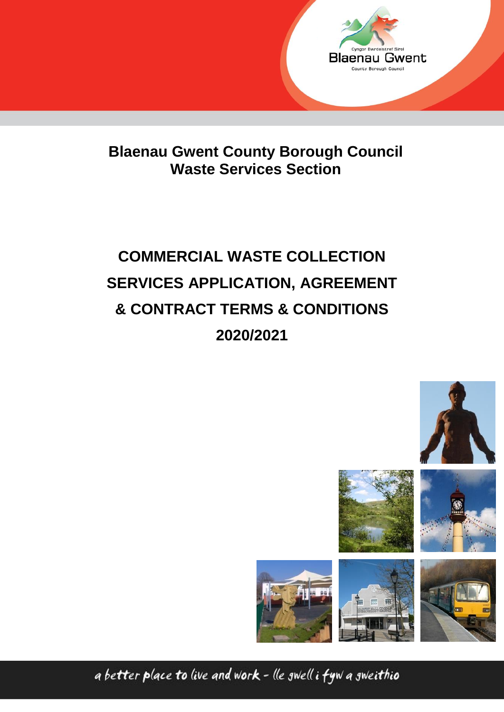

**Blaenau Gwent County Borough Council Waste Services Section**

# **COMMERCIAL WASTE COLLECTION SERVICES APPLICATION, AGREEMENT & CONTRACT TERMS & CONDITIONS 2020/2021**





a better place to live and work - lle swell i fyw a sweithio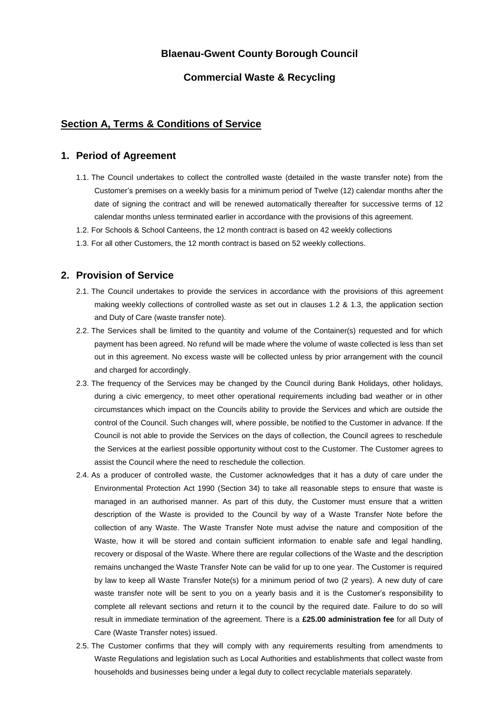### **Blaenau-Gwent County Borough Council**

### **Commercial Waste & Recycling**

### **Section A, Terms & Conditions of Service**

#### **1. Period of Agreement**

- 1.1. The Council undertakes to collect the controlled waste (detailed in the waste transfer note) from the Customer's premises on a weekly basis for a minimum period of Twelve (12) calendar months after the date of signing the contract and will be renewed automatically thereafter for successive terms of 12 calendar months unless terminated earlier in accordance with the provisions of this agreement.
- 1.2. For Schools & School Canteens, the 12 month contract is based on 42 weekly collections
- 1.3. For all other Customers, the 12 month contract is based on 52 weekly collections.

### **2. Provision of Service**

- 2.1. The Council undertakes to provide the services in accordance with the provisions of this agreement making weekly collections of controlled waste as set out in clauses 1.2 & 1.3, the application section and Duty of Care (waste transfer note).
- 2.2. The Services shall be limited to the quantity and volume of the Container(s) requested and for which payment has been agreed. No refund will be made where the volume of waste collected is less than set out in this agreement. No excess waste will be collected unless by prior arrangement with the council and charged for accordingly.
- 2.3. The frequency of the Services may be changed by the Council during Bank Holidays, other holidays, during a civic emergency, to meet other operational requirements including bad weather or in other circumstances which impact on the Councils ability to provide the Services and which are outside the control of the Council. Such changes will, where possible, be notified to the Customer in advance. If the Council is not able to provide the Services on the days of collection, the Council agrees to reschedule the Services at the earliest possible opportunity without cost to the Customer. The Customer agrees to assist the Council where the need to reschedule the collection.
- 2.4. As a producer of controlled waste, the Customer acknowledges that it has a duty of care under the Environmental Protection Act 1990 (Section 34) to take all reasonable steps to ensure that waste is managed in an authorised manner. As part of this duty, the Customer must ensure that a written description of the Waste is provided to the Council by way of a Waste Transfer Note before the collection of any Waste. The Waste Transfer Note must advise the nature and composition of the Waste, how it will be stored and contain sufficient information to enable safe and legal handling, recovery or disposal of the Waste. Where there are regular collections of the Waste and the description remains unchanged the Waste Transfer Note can be valid for up to one year. The Customer is required by law to keep all Waste Transfer Note(s) for a minimum period of two (2 years). A new duty of care waste transfer note will be sent to you on a yearly basis and it is the Customer's responsibility to complete all relevant sections and return it to the council by the required date. Failure to do so will result in immediate termination of the agreement. There is a **£25.00 administration fee** for all Duty of Care (Waste Transfer notes) issued.
- 2.5. The Customer confirms that they will comply with any requirements resulting from amendments to Waste Regulations and legislation such as Local Authorities and establishments that collect waste from households and businesses being under a legal duty to collect recyclable materials separately.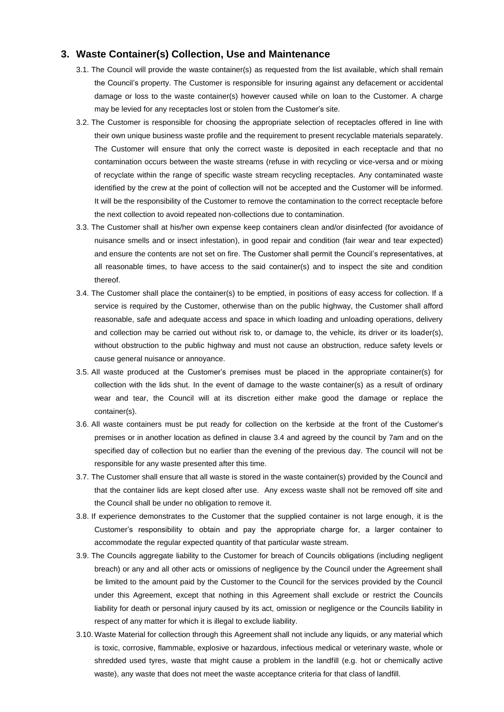### **3. Waste Container(s) Collection, Use and Maintenance**

- 3.1. The Council will provide the waste container(s) as requested from the list available, which shall remain the Council's property. The Customer is responsible for insuring against any defacement or accidental damage or loss to the waste container(s) however caused while on loan to the Customer. A charge may be levied for any receptacles lost or stolen from the Customer's site.
- 3.2. The Customer is responsible for choosing the appropriate selection of receptacles offered in line with their own unique business waste profile and the requirement to present recyclable materials separately. The Customer will ensure that only the correct waste is deposited in each receptacle and that no contamination occurs between the waste streams (refuse in with recycling or vice-versa and or mixing of recyclate within the range of specific waste stream recycling receptacles. Any contaminated waste identified by the crew at the point of collection will not be accepted and the Customer will be informed. It will be the responsibility of the Customer to remove the contamination to the correct receptacle before the next collection to avoid repeated non-collections due to contamination.
- 3.3. The Customer shall at his/her own expense keep containers clean and/or disinfected (for avoidance of nuisance smells and or insect infestation), in good repair and condition (fair wear and tear expected) and ensure the contents are not set on fire. The Customer shall permit the Council's representatives, at all reasonable times, to have access to the said container(s) and to inspect the site and condition thereof.
- 3.4. The Customer shall place the container(s) to be emptied, in positions of easy access for collection. If a service is required by the Customer, otherwise than on the public highway, the Customer shall afford reasonable, safe and adequate access and space in which loading and unloading operations, delivery and collection may be carried out without risk to, or damage to, the vehicle, its driver or its loader(s), without obstruction to the public highway and must not cause an obstruction, reduce safety levels or cause general nuisance or annoyance.
- 3.5. All waste produced at the Customer's premises must be placed in the appropriate container(s) for collection with the lids shut. In the event of damage to the waste container(s) as a result of ordinary wear and tear, the Council will at its discretion either make good the damage or replace the container(s).
- 3.6. All waste containers must be put ready for collection on the kerbside at the front of the Customer's premises or in another location as defined in clause 3.4 and agreed by the council by 7am and on the specified day of collection but no earlier than the evening of the previous day. The council will not be responsible for any waste presented after this time.
- 3.7. The Customer shall ensure that all waste is stored in the waste container(s) provided by the Council and that the container lids are kept closed after use. Any excess waste shall not be removed off site and the Council shall be under no obligation to remove it.
- 3.8. If experience demonstrates to the Customer that the supplied container is not large enough, it is the Customer's responsibility to obtain and pay the appropriate charge for, a larger container to accommodate the regular expected quantity of that particular waste stream.
- 3.9. The Councils aggregate liability to the Customer for breach of Councils obligations (including negligent breach) or any and all other acts or omissions of negligence by the Council under the Agreement shall be limited to the amount paid by the Customer to the Council for the services provided by the Council under this Agreement, except that nothing in this Agreement shall exclude or restrict the Councils liability for death or personal injury caused by its act, omission or negligence or the Councils liability in respect of any matter for which it is illegal to exclude liability.
- 3.10. Waste Material for collection through this Agreement shall not include any liquids, or any material which is toxic, corrosive, flammable, explosive or hazardous, infectious medical or veterinary waste, whole or shredded used tyres, waste that might cause a problem in the landfill (e.g. hot or chemically active waste), any waste that does not meet the waste acceptance criteria for that class of landfill.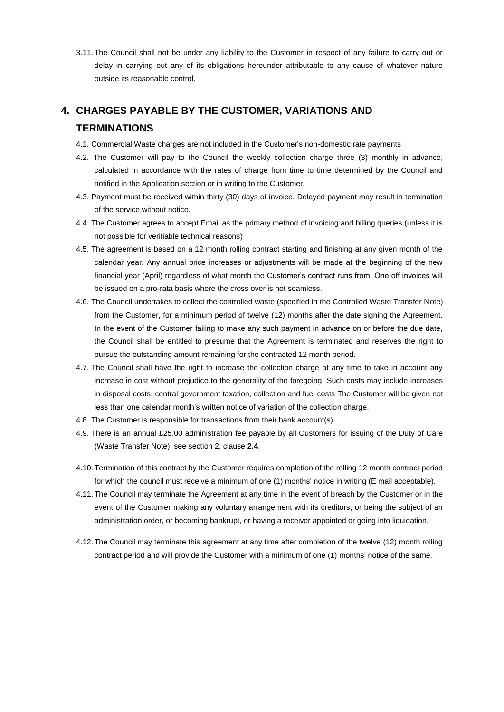3.11. The Council shall not be under any liability to the Customer in respect of any failure to carry out or delay in carrying out any of its obligations hereunder attributable to any cause of whatever nature outside its reasonable control.

# **4. CHARGES PAYABLE BY THE CUSTOMER, VARIATIONS AND TERMINATIONS**

- 4.1. Commercial Waste charges are not included in the Customer's non-domestic rate payments
- 4.2. The Customer will pay to the Council the weekly collection charge three (3) monthly in advance, calculated in accordance with the rates of charge from time to time determined by the Council and notified in the Application section or in writing to the Customer.
- 4.3. Payment must be received within thirty (30) days of invoice. Delayed payment may result in termination of the service without notice.
- 4.4. The Customer agrees to accept Email as the primary method of invoicing and billing queries (unless it is not possible for verifiable technical reasons)
- 4.5. The agreement is based on a 12 month rolling contract starting and finishing at any given month of the calendar year. Any annual price increases or adjustments will be made at the beginning of the new financial year (April) regardless of what month the Customer's contract runs from. One off invoices will be issued on a pro-rata basis where the cross over is not seamless.
- 4.6. The Council undertakes to collect the controlled waste (specified in the Controlled Waste Transfer Note) from the Customer, for a minimum period of twelve (12) months after the date signing the Agreement. In the event of the Customer failing to make any such payment in advance on or before the due date, the Council shall be entitled to presume that the Agreement is terminated and reserves the right to pursue the outstanding amount remaining for the contracted 12 month period.
- 4.7. The Council shall have the right to increase the collection charge at any time to take in account any increase in cost without prejudice to the generality of the foregoing. Such costs may include increases in disposal costs, central government taxation, collection and fuel costs The Customer will be given not less than one calendar month's written notice of variation of the collection charge.
- 4.8. The Customer is responsible for transactions from their bank account(s).
- 4.9. There is an annual £25.00 administration fee payable by all Customers for issuing of the Duty of Care (Waste Transfer Note), see section 2, clause **2.4**.
- 4.10. Termination of this contract by the Customer requires completion of the rolling 12 month contract period for which the council must receive a minimum of one (1) months' notice in writing (E mail acceptable).
- 4.11. The Council may terminate the Agreement at any time in the event of breach by the Customer or in the event of the Customer making any voluntary arrangement with its creditors, or being the subject of an administration order, or becoming bankrupt, or having a receiver appointed or going into liquidation.
- 4.12. The Council may terminate this agreement at any time after completion of the twelve (12) month rolling contract period and will provide the Customer with a minimum of one (1) months' notice of the same.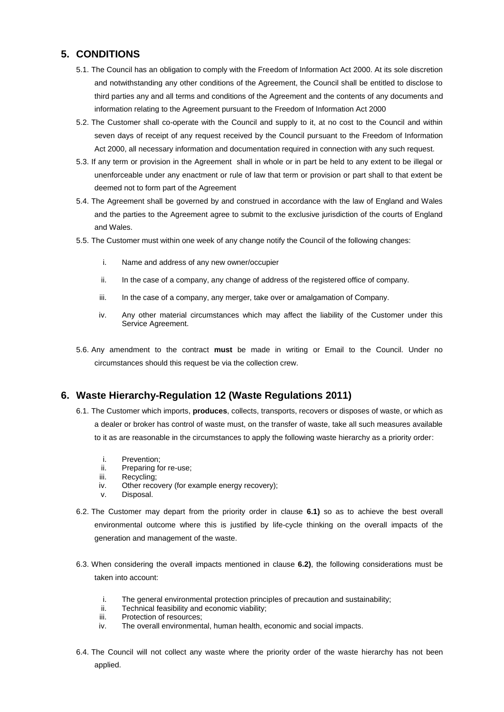# **5. CONDITIONS**

- 5.1. The Council has an obligation to comply with the Freedom of Information Act 2000. At its sole discretion and notwithstanding any other conditions of the Agreement, the Council shall be entitled to disclose to third parties any and all terms and conditions of the Agreement and the contents of any documents and information relating to the Agreement pursuant to the Freedom of Information Act 2000
- 5.2. The Customer shall co-operate with the Council and supply to it, at no cost to the Council and within seven days of receipt of any request received by the Council pursuant to the Freedom of Information Act 2000, all necessary information and documentation required in connection with any such request.
- 5.3. If any term or provision in the Agreement shall in whole or in part be held to any extent to be illegal or unenforceable under any enactment or rule of law that term or provision or part shall to that extent be deemed not to form part of the Agreement
- 5.4. The Agreement shall be governed by and construed in accordance with the law of England and Wales and the parties to the Agreement agree to submit to the exclusive jurisdiction of the courts of England and Wales.
- 5.5. The Customer must within one week of any change notify the Council of the following changes:
	- i. Name and address of any new owner/occupier
	- ii. In the case of a company, any change of address of the registered office of company.
	- iii. In the case of a company, any merger, take over or amalgamation of Company.
	- iv. Any other material circumstances which may affect the liability of the Customer under this Service Agreement.
- 5.6. Any amendment to the contract **must** be made in writing or Email to the Council. Under no circumstances should this request be via the collection crew.

### **6. Waste Hierarchy-Regulation 12 (Waste Regulations 2011)**

- 6.1. The Customer which imports, **produces**, collects, transports, recovers or disposes of waste, or which as a dealer or broker has control of waste must, on the transfer of waste, take all such measures available to it as are reasonable in the circumstances to apply the following waste hierarchy as a priority order:
	- i. Prevention;<br>ii. Preparing fo
	- Preparing for re-use;
	- iii. Recycling;
	- iv. Other recovery (for example energy recovery);
	- v. Disposal.
- 6.2. The Customer may depart from the priority order in clause **6.1)** so as to achieve the best overall environmental outcome where this is justified by life-cycle thinking on the overall impacts of the generation and management of the waste.
- 6.3. When considering the overall impacts mentioned in clause **6.2)**, the following considerations must be taken into account:
	- i. The general environmental protection principles of precaution and sustainability;
	- ii. Technical feasibility and economic viability;
	- iii. Protection of resources;
	- iv. The overall environmental, human health, economic and social impacts.
- 6.4. The Council will not collect any waste where the priority order of the waste hierarchy has not been applied.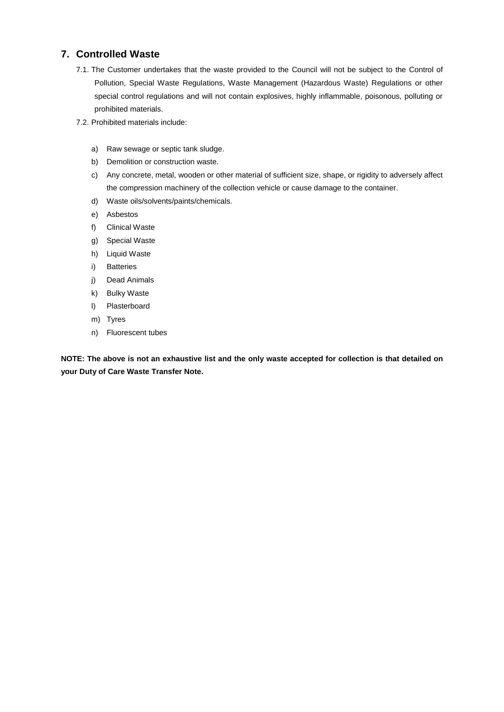### **7. Controlled Waste**

- 7.1. The Customer undertakes that the waste provided to the Council will not be subject to the Control of Pollution, Special Waste Regulations, Waste Management (Hazardous Waste) Regulations or other special control regulations and will not contain explosives, highly inflammable, poisonous, polluting or prohibited materials.
- 7.2. Prohibited materials include:
	- a) Raw sewage or septic tank sludge.
	- b) Demolition or construction waste.
	- c) Any concrete, metal, wooden or other material of sufficient size, shape, or rigidity to adversely affect the compression machinery of the collection vehicle or cause damage to the container.
	- d) Waste oils/solvents/paints/chemicals.
	- e) Asbestos
	- f) Clinical Waste
	- g) Special Waste
	- h) Liquid Waste
	- i) Batteries
	- j) Dead Animals
	- k) Bulky Waste
	- l) Plasterboard
	- m) Tyres
	- n) Fluorescent tubes

**NOTE: The above is not an exhaustive list and the only waste accepted for collection is that detailed on your Duty of Care Waste Transfer Note.**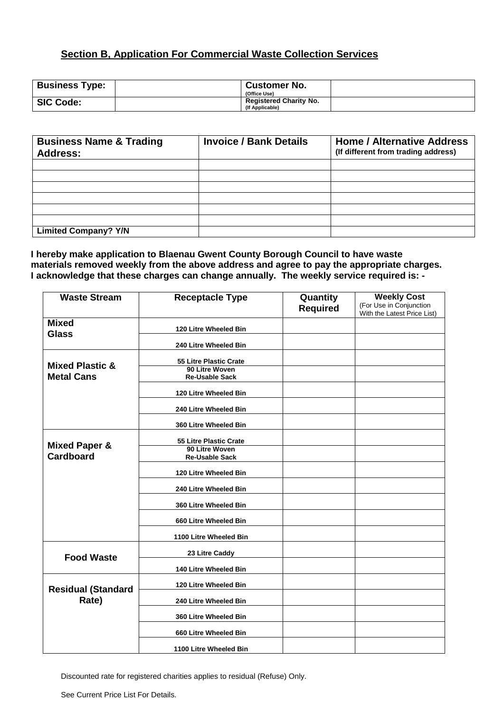# **Section B, Application For Commercial Waste Collection Services**

| <b>Business Type:</b> | <b>Customer No.</b><br>(Office Use)              |  |
|-----------------------|--------------------------------------------------|--|
| <b>SIC Code:</b>      | <b>Registered Charity No.</b><br>(If Applicable) |  |

| <b>Business Name &amp; Trading</b><br><b>Address:</b> | <b>Invoice / Bank Details</b> | <b>Home / Alternative Address</b><br>(If different from trading address) |
|-------------------------------------------------------|-------------------------------|--------------------------------------------------------------------------|
|                                                       |                               |                                                                          |
|                                                       |                               |                                                                          |
|                                                       |                               |                                                                          |
|                                                       |                               |                                                                          |
|                                                       |                               |                                                                          |
|                                                       |                               |                                                                          |
| <b>Limited Company? Y/N</b>                           |                               |                                                                          |

### **I hereby make application to Blaenau Gwent County Borough Council to have waste materials removed weekly from the above address and agree to pay the appropriate charges. I acknowledge that these charges can change annually. The weekly service required is: -**

| <b>Waste Stream</b>        | <b>Receptacle Type</b>                  | Quantity        | <b>Weekly Cost</b>                                     |
|----------------------------|-----------------------------------------|-----------------|--------------------------------------------------------|
|                            |                                         | <b>Required</b> | (For Use in Conjunction<br>With the Latest Price List) |
| <b>Mixed</b>               |                                         |                 |                                                        |
| <b>Glass</b>               | 120 Litre Wheeled Bin                   |                 |                                                        |
|                            | 240 Litre Wheeled Bin                   |                 |                                                        |
|                            | 55 Litre Plastic Crate                  |                 |                                                        |
| <b>Mixed Plastic &amp;</b> | 90 Litre Woven                          |                 |                                                        |
| <b>Metal Cans</b>          | <b>Re-Usable Sack</b>                   |                 |                                                        |
|                            | 120 Litre Wheeled Bin                   |                 |                                                        |
|                            | 240 Litre Wheeled Bin                   |                 |                                                        |
|                            | 360 Litre Wheeled Bin                   |                 |                                                        |
| <b>Mixed Paper &amp;</b>   | 55 Litre Plastic Crate                  |                 |                                                        |
| <b>Cardboard</b>           | 90 Litre Woven<br><b>Re-Usable Sack</b> |                 |                                                        |
|                            | 120 Litre Wheeled Bin                   |                 |                                                        |
|                            | 240 Litre Wheeled Bin                   |                 |                                                        |
|                            | 360 Litre Wheeled Bin                   |                 |                                                        |
|                            | 660 Litre Wheeled Bin                   |                 |                                                        |
|                            | 1100 Litre Wheeled Bin                  |                 |                                                        |
| <b>Food Waste</b>          | 23 Litre Caddy                          |                 |                                                        |
|                            | 140 Litre Wheeled Bin                   |                 |                                                        |
| <b>Residual (Standard</b>  | 120 Litre Wheeled Bin                   |                 |                                                        |
| Rate)                      | 240 Litre Wheeled Bin                   |                 |                                                        |
|                            | 360 Litre Wheeled Bin                   |                 |                                                        |
|                            | 660 Litre Wheeled Bin                   |                 |                                                        |
|                            | 1100 Litre Wheeled Bin                  |                 |                                                        |

Discounted rate for registered charities applies to residual (Refuse) Only.